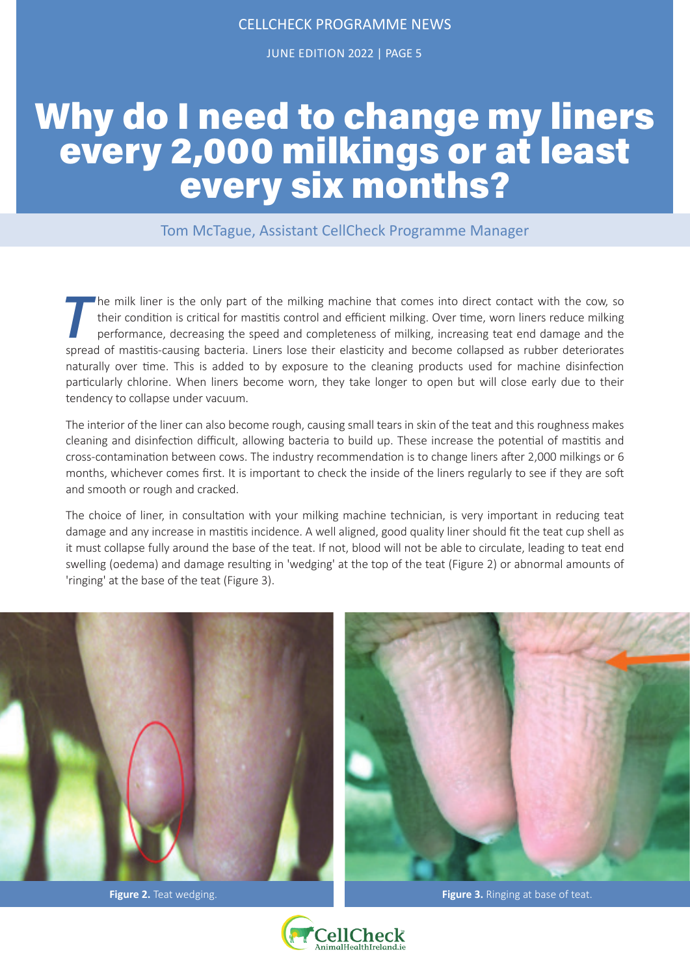JUNE EDITION 2022 | PAGE 5

# Why do I need to change my liners every 2,000 milkings or at least every six months?

Tom McTague, Assistant CellCheck Programme Manager

The milk liner is the only part of the milking machine that comes into direct contact with the cow, so their condition is critical for mastitis control and efficient milking. Over time, worn liners reduce milking performan their condition is critical for mastitis control and efficient milking. Over time, worn liners reduce milking performance, decreasing the speed and completeness of milking, increasing teat end damage and the spread of mastitis-causing bacteria. Liners lose their elasticity and become collapsed as rubber deteriorates naturally over time. This is added to by exposure to the cleaning products used for machine disinfection particularly chlorine. When liners become worn, they take longer to open but will close early due to their tendency to collapse under vacuum.

The interior of the liner can also become rough, causing small tears in skin of the teat and this roughness makes cleaning and disinfection difficult, allowing bacteria to build up. These increase the potential of mastitis and cross-contamination between cows. The industry recommendation is to change liners after 2,000 milkings or 6 months, whichever comes first. It is important to check the inside of the liners regularly to see if they are soft and smooth or rough and cracked.

The choice of liner, in consultation with your milking machine technician, is very important in reducing teat damage and any increase in mastitis incidence. A well aligned, good quality liner should fit the teat cup shell as it must collapse fully around the base of the teat. If not, blood will not be able to circulate, leading to teat end swelling (oedema) and damage resulting in 'wedging' at the top of the teat (Figure 2) or abnormal amounts of 'ringing' at the base of the teat (Figure 3).





**Figure 2.** Teat wedging. **Figure 3.** Ringing at base of teat.